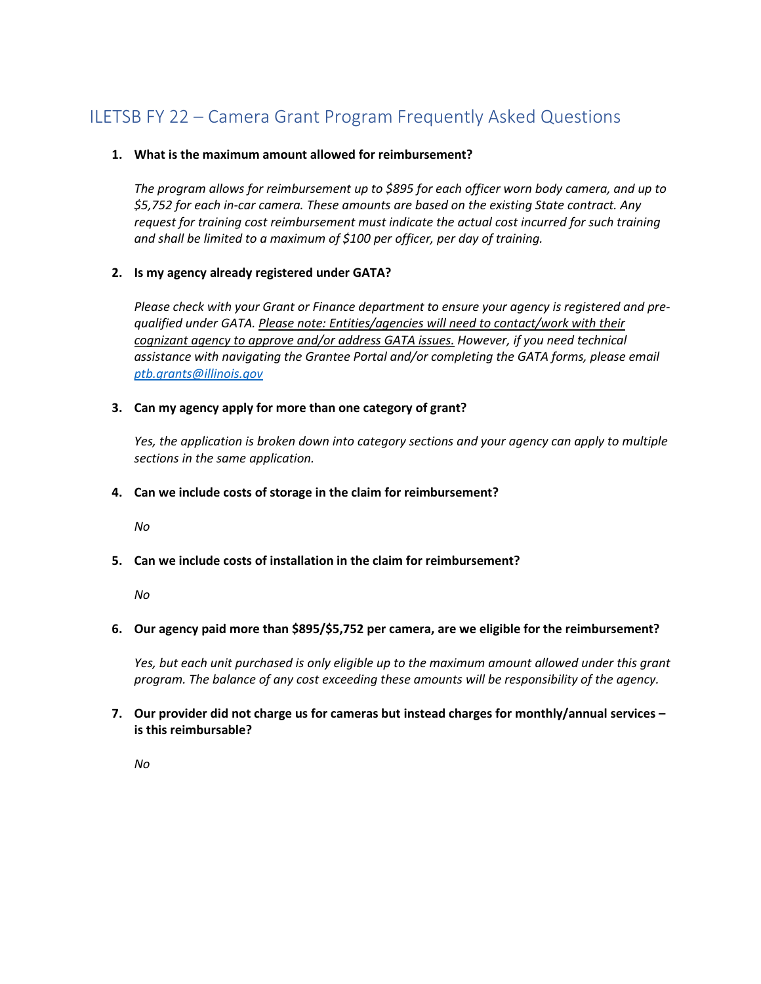# ILETSB FY 22 – Camera Grant Program Frequently Asked Questions

## **1. What is the maximum amount allowed for reimbursement?**

*The program allows for reimbursement up to \$895 for each officer worn body camera, and up to \$5,752 for each in-car camera. These amounts are based on the existing State contract. Any request for training cost reimbursement must indicate the actual cost incurred for such training and shall be limited to a maximum of \$100 per officer, per day of training.* 

## **2. Is my agency already registered under GATA?**

*Please check with your Grant or Finance department to ensure your agency is registered and prequalified under GATA. Please note: Entities/agencies will need to contact/work with their cognizant agency to approve and/or address GATA issues. However, if you need technical assistance with navigating the Grantee Portal and/or completing the GATA forms, please email [ptb.grants@illinois.gov](mailto:ptb.grants@illinois.gov)*

## **3. Can my agency apply for more than one category of grant?**

*Yes, the application is broken down into category sections and your agency can apply to multiple sections in the same application.*

## **4. Can we include costs of storage in the claim for reimbursement?**

*No*

## **5. Can we include costs of installation in the claim for reimbursement?**

*No*

## **6. Our agency paid more than \$895/\$5,752 per camera, are we eligible for the reimbursement?**

*Yes, but each unit purchased is only eligible up to the maximum amount allowed under this grant program. The balance of any cost exceeding these amounts will be responsibility of the agency.* 

## **7. Our provider did not charge us for cameras but instead charges for monthly/annual services – is this reimbursable?**

*No*